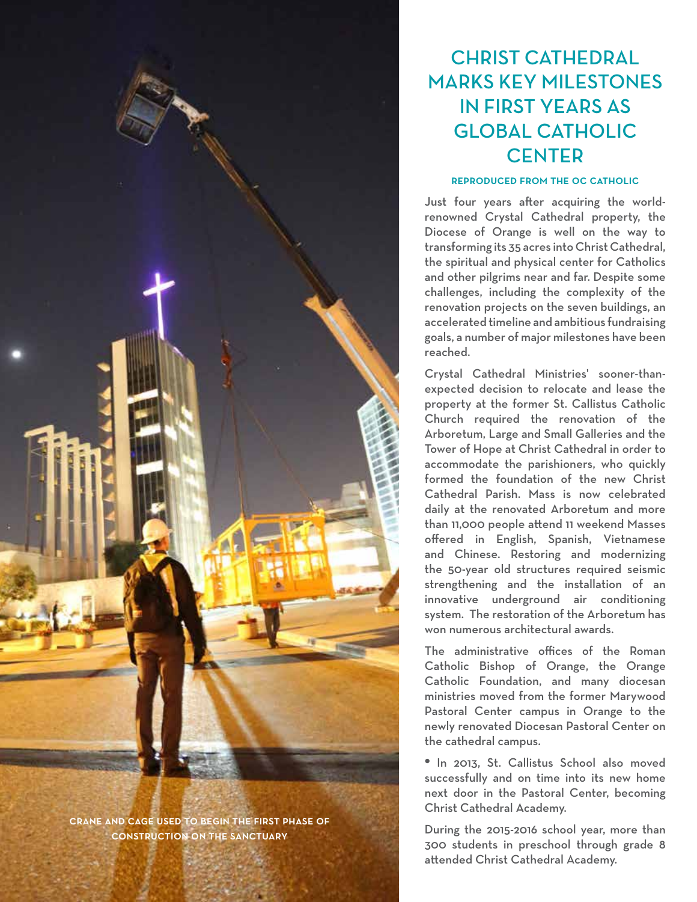

crane and cage used to begin the first phase of construction on the sanctuary

# CHRIST CATHEDRAL MARKS KEY MILESTONES IN FIRST YEARS AS GLOBAL CATHOLIC **CENTER**

### reproduced from the oc catholic

Just four years after acquiring the worldrenowned Crystal Cathedral property, the Diocese of Orange is well on the way to transforming its 35 acres into Christ Cathedral, the spiritual and physical center for Catholics and other pilgrims near and far. Despite some challenges, including the complexity of the renovation projects on the seven buildings, an accelerated timeline and ambitious fundraising goals, a number of major milestones have been reached.

Crystal Cathedral Ministries' sooner-thanexpected decision to relocate and lease the property at the former St. Callistus Catholic Church required the renovation of the Arboretum, Large and Small Galleries and the Tower of Hope at Christ Cathedral in order to accommodate the parishioners, who quickly formed the foundation of the new Christ Cathedral Parish. Mass is now celebrated daily at the renovated Arboretum and more than 11,000 people attend 11 weekend Masses offered in English, Spanish, Vietnamese and Chinese. Restoring and modernizing the 50-year old structures required seismic strengthening and the installation of an innovative underground air conditioning system. The restoration of the Arboretum has won numerous architectural awards.

The administrative offices of the Roman Catholic Bishop of Orange, the Orange Catholic Foundation, and many diocesan ministries moved from the former Marywood Pastoral Center campus in Orange to the newly renovated Diocesan Pastoral Center on the cathedral campus.

**•** In 2013, St. Callistus School also moved successfully and on time into its new home next door in the Pastoral Center, becoming Christ Cathedral Academy.

During the 2015-2016 school year, more than 300 students in preschool through grade 8 attended Christ Cathedral Academy.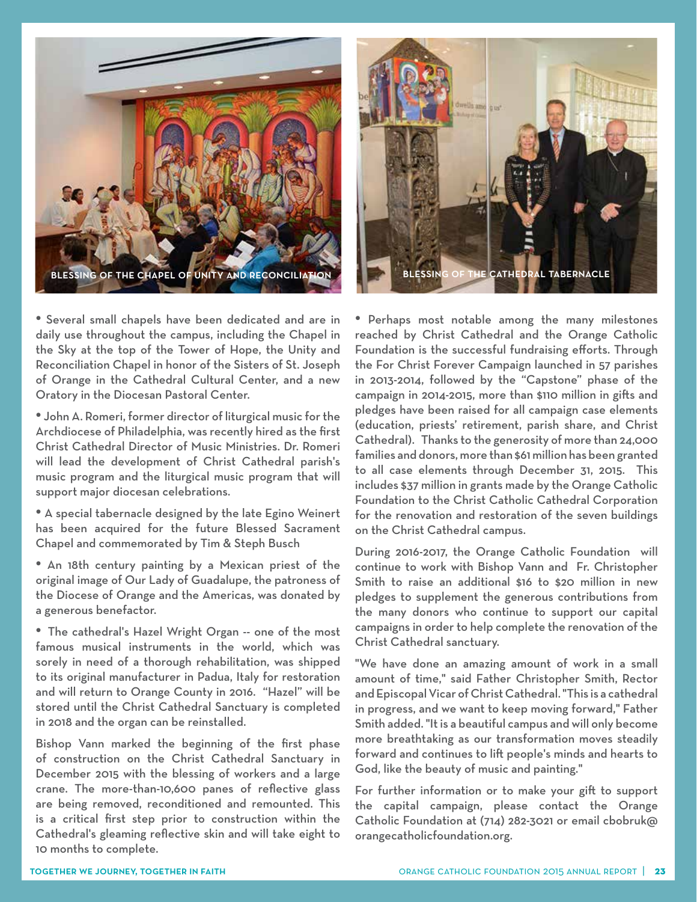



• Several small chapels have been dedicated and are in daily use throughout the campus, including the Chapel in the Sky at the top of the Tower of Hope, the Unity and Reconciliation Chapel in honor of the Sisters of St. Joseph of Orange in the Cathedral Cultural Center, and a new Oratory in the Diocesan Pastoral Center.

• John A. Romeri, former director of liturgical music for the Archdiocese of Philadelphia, was recently hired as the first Christ Cathedral Director of Music Ministries. Dr. Romeri will lead the development of Christ Cathedral parish's music program and the liturgical music program that will support major diocesan celebrations.

• A special tabernacle designed by the late Egino Weinert has been acquired for the future Blessed Sacrament Chapel and commemorated by Tim & Steph Busch

• An 18th century painting by a Mexican priest of the original image of Our Lady of Guadalupe, the patroness of the Diocese of Orange and the Americas, was donated by a generous benefactor.

• The cathedral's Hazel Wright Organ -- one of the most famous musical instruments in the world, which was sorely in need of a thorough rehabilitation, was shipped to its original manufacturer in Padua, Italy for restoration and will return to Orange County in 2016. "Hazel" will be stored until the Christ Cathedral Sanctuary is completed in 2018 and the organ can be reinstalled.

Bishop Vann marked the beginning of the first phase of construction on the Christ Cathedral Sanctuary in December 2015 with the blessing of workers and a large crane. The more-than-10,600 panes of reflective glass are being removed, reconditioned and remounted. This is a critical first step prior to construction within the Cathedral's gleaming reflective skin and will take eight to 10 months to complete.

• Perhaps most notable among the many milestones reached by Christ Cathedral and the Orange Catholic Foundation is the successful fundraising efforts. Through the For Christ Forever Campaign launched in 57 parishes in 2013-2014, followed by the "Capstone" phase of the campaign in 2014-2015, more than \$110 million in gifts and pledges have been raised for all campaign case elements (education, priests' retirement, parish share, and Christ Cathedral). Thanks to the generosity of more than 24,000 families and donors, more than \$61 million has been granted to all case elements through December 31, 2015. This includes \$37 million in grants made by the Orange Catholic Foundation to the Christ Catholic Cathedral Corporation for the renovation and restoration of the seven buildings on the Christ Cathedral campus.

During 2016-2017, the Orange Catholic Foundation will continue to work with Bishop Vann and Fr. Christopher Smith to raise an additional \$16 to \$20 million in new pledges to supplement the generous contributions from the many donors who continue to support our capital campaigns in order to help complete the renovation of the Christ Cathedral sanctuary.

"We have done an amazing amount of work in a small amount of time," said Father Christopher Smith, Rector and Episcopal Vicar of Christ Cathedral. "This is a cathedral in progress, and we want to keep moving forward," Father Smith added. "It is a beautiful campus and will only become more breathtaking as our transformation moves steadily forward and continues to lift people's minds and hearts to God, like the beauty of music and painting."

For further information or to make your gift to support the capital campaign, please contact the Orange Catholic Foundation at (714) 282-3021 or email cbobruk@ orangecatholicfoundation.org.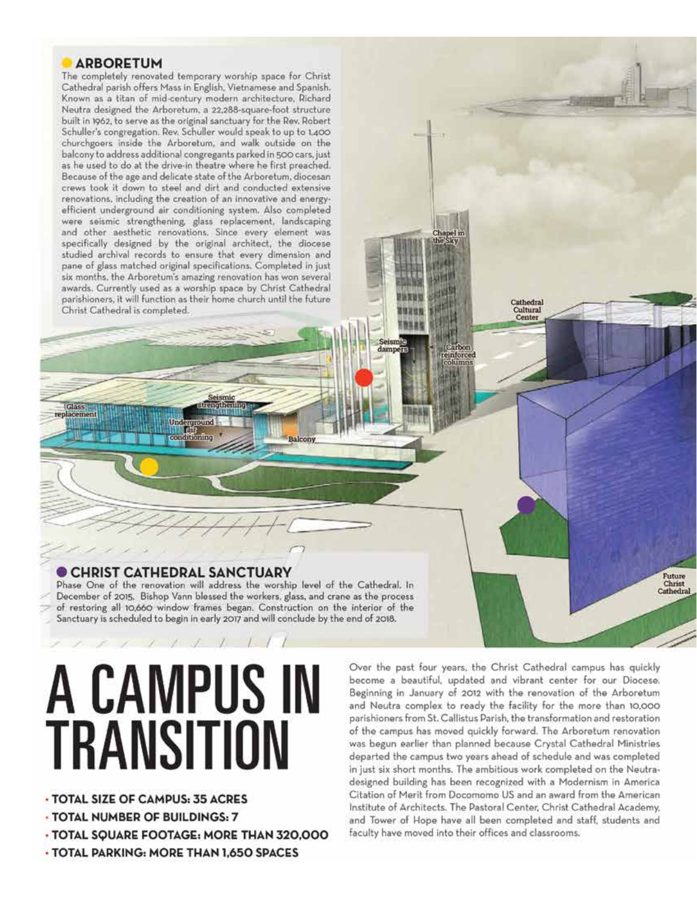## **ARBORETUM**

Glass

The completely renovated temporary worship space for Christ Cathedral parish offers Mass in English, Vietnamese and Spanish. Known as a titan of mid-century modern architecture, Richard Neutra designed the Arboretum, a 22,288-square-foot structure built in 1962, to serve as the original sanctuary for the Rev. Robert Schuller's congregation. Rev. Schuller would speak to up to 1,400 churchgoers inside the Arboretum, and walk outside on the balcony to address additional congregants parked in 500 cars, just as he used to do at the drive-in theatre where he first preached. Because of the age and delicate state of the Arboretum, diocesan crews took it down to steel and dirt and conducted extensive renovations, including the creation of an innovative and energyefficient underground air conditioning system. Also completed were seismic strengthening, glass replacement, landscaping and other aesthetic renovations. Since every element was specifically designed by the original architect, the diocese studied archival records to ensure that every dimension and pane of glass matched original specifications. Completed in just six months, the Arboretum's amazing renovation has won several awards. Currently used as a worship space by Christ Cathedral parishioners, it will function as their home church until the future Christ Cathedral is completed.

## CHRIST CATHEDRAL SANCTUARY

ditioning

Phase One of the renovation will address the worship level of the Cathedral. In December of 2015, Bishop Vann blessed the workers, glass, and crane as the process of restoring all 10,660 window frames began. Construction on the interior of the Sanctuary is scheduled to begin in early 2017 and will conclude by the end of 2018.

Balcony

# A CAMPUS IN **TRANSITION**

- · TOTAL SIZE OF CAMPUS: 35 ACRES
- TOTAL NUMBER OF BUILDINGS: 7
- TOTAL SQUARE FOOTAGE: MORE THAN 320,000

- TOTAL PARKING: MORE THAN 1,650 SPACES

Over the past four years, the Christ Cathedral campus has quickly become a beautiful, updated and vibrant center for our Diocese. Beginning in January of 2012 with the renovation of the Arboretum and Neutra complex to ready the facility for the more than 10,000 parishioners from St. Callistus Parish, the transformation and restoration of the campus has moved quickly forward. The Arboretum renovation was begun earlier than planned because Crystal Cathedral Ministries departed the campus two years ahead of schedule and was completed in just six short months. The ambitious work completed on the Neutradesigned building has been recognized with a Modernism in America Citation of Merit from Docomomo US and an award from the American Institute of Architects. The Pastoral Center, Christ Cathedral Academy, and Tower of Hope have all been completed and staff, students and faculty have moved into their offices and classrooms.

Cathedral

Cultural Center

Future

Christ

damp

einforc